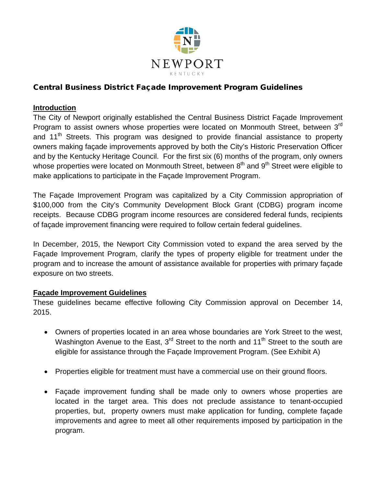

# Central Business District Façade Improvement Program Guidelines

### **Introduction**

The City of Newport originally established the Central Business District Façade Improvement Program to assist owners whose properties were located on Monmouth Street, between 3<sup>rd</sup> and 11<sup>th</sup> Streets. This program was designed to provide financial assistance to property owners making façade improvements approved by both the City's Historic Preservation Officer and by the Kentucky Heritage Council. For the first six (6) months of the program, only owners whose properties were located on Monmouth Street, between  $8<sup>th</sup>$  and  $9<sup>th</sup>$  Street were eligible to make applications to participate in the Façade Improvement Program.

The Façade Improvement Program was capitalized by a City Commission appropriation of \$100,000 from the City's Community Development Block Grant (CDBG) program income receipts. Because CDBG program income resources are considered federal funds, recipients of façade improvement financing were required to follow certain federal guidelines.

In December, 2015, the Newport City Commission voted to expand the area served by the Façade Improvement Program, clarify the types of property eligible for treatment under the program and to increase the amount of assistance available for properties with primary façade exposure on two streets.

### **Façade Improvement Guidelines**

These guidelines became effective following City Commission approval on December 14, 2015.

- Owners of properties located in an area whose boundaries are York Street to the west, Washington Avenue to the East,  $3<sup>rd</sup>$  Street to the north and 11<sup>th</sup> Street to the south are eligible for assistance through the Façade Improvement Program. (See Exhibit A)
- Properties eligible for treatment must have a commercial use on their ground floors.
- Façade improvement funding shall be made only to owners whose properties are located in the target area. This does not preclude assistance to tenant-occupied properties, but, property owners must make application for funding, complete façade improvements and agree to meet all other requirements imposed by participation in the program.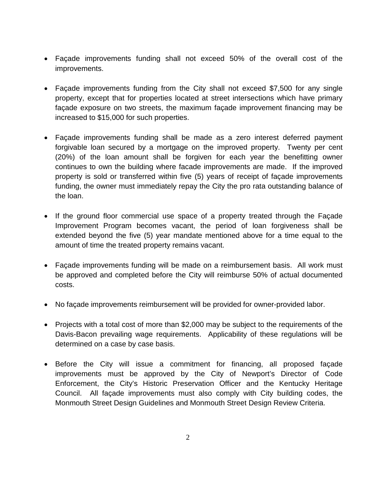- Façade improvements funding shall not exceed 50% of the overall cost of the improvements.
- Façade improvements funding from the City shall not exceed \$7,500 for any single property, except that for properties located at street intersections which have primary façade exposure on two streets, the maximum façade improvement financing may be increased to \$15,000 for such properties.
- Façade improvements funding shall be made as a zero interest deferred payment forgivable loan secured by a mortgage on the improved property. Twenty per cent (20%) of the loan amount shall be forgiven for each year the benefitting owner continues to own the building where facade improvements are made. If the improved property is sold or transferred within five (5) years of receipt of façade improvements funding, the owner must immediately repay the City the pro rata outstanding balance of the loan.
- If the ground floor commercial use space of a property treated through the Façade Improvement Program becomes vacant, the period of loan forgiveness shall be extended beyond the five (5) year mandate mentioned above for a time equal to the amount of time the treated property remains vacant.
- Façade improvements funding will be made on a reimbursement basis. All work must be approved and completed before the City will reimburse 50% of actual documented costs.
- No façade improvements reimbursement will be provided for owner-provided labor.
- Projects with a total cost of more than \$2,000 may be subject to the requirements of the Davis-Bacon prevailing wage requirements. Applicability of these regulations will be determined on a case by case basis.
- Before the City will issue a commitment for financing, all proposed façade improvements must be approved by the City of Newport's Director of Code Enforcement, the City's Historic Preservation Officer and the Kentucky Heritage Council. All façade improvements must also comply with City building codes, the Monmouth Street Design Guidelines and Monmouth Street Design Review Criteria.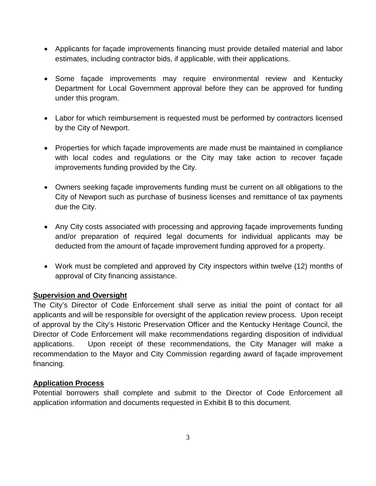- Applicants for façade improvements financing must provide detailed material and labor estimates, including contractor bids, if applicable, with their applications.
- Some façade improvements may require environmental review and Kentucky Department for Local Government approval before they can be approved for funding under this program.
- Labor for which reimbursement is requested must be performed by contractors licensed by the City of Newport.
- Properties for which façade improvements are made must be maintained in compliance with local codes and regulations or the City may take action to recover façade improvements funding provided by the City.
- Owners seeking façade improvements funding must be current on all obligations to the City of Newport such as purchase of business licenses and remittance of tax payments due the City.
- Any City costs associated with processing and approving façade improvements funding and/or preparation of required legal documents for individual applicants may be deducted from the amount of façade improvement funding approved for a property.
- Work must be completed and approved by City inspectors within twelve (12) months of approval of City financing assistance.

## **Supervision and Oversight**

The City's Director of Code Enforcement shall serve as initial the point of contact for all applicants and will be responsible for oversight of the application review process. Upon receipt of approval by the City's Historic Preservation Officer and the Kentucky Heritage Council, the Director of Code Enforcement will make recommendations regarding disposition of individual applications. Upon receipt of these recommendations, the City Manager will make a recommendation to the Mayor and City Commission regarding award of façade improvement financing.

## **Application Process**

Potential borrowers shall complete and submit to the Director of Code Enforcement all application information and documents requested in Exhibit B to this document.